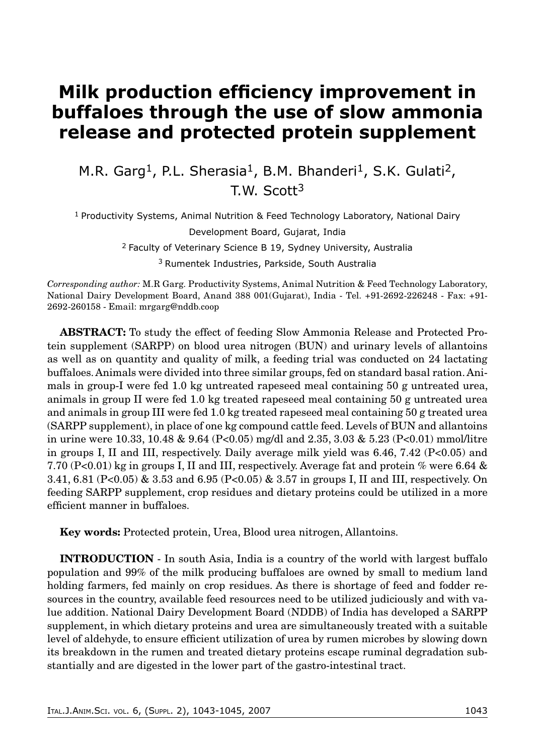## **Milk production efficiency improvement in buffaloes through the use of slow ammonia release and protected protein supplement**

M.R. Garg<sup>1</sup>, P.L. Sherasia<sup>1</sup>, B.M. Bhanderi<sup>1</sup>, S.K. Gulati<sup>2</sup>, T.W. Scott3

1 Productivity Systems, Animal Nutrition & Feed Technology Laboratory, National Dairy Development Board, Gujarat, India 2 Faculty of Veterinary Science B 19, Sydney University, Australia 3 Rumentek Industries, Parkside, South Australia

*Corresponding author:* M.R Garg. Productivity Systems, Animal Nutrition & Feed Technology Laboratory, National Dairy Development Board, Anand 388 001(Gujarat), India - Tel. +91-2692-226248 - Fax: +91- 2692-260158 - Email: mrgarg@nddb.coop

**ABSTRACT:** To study the effect of feeding Slow Ammonia Release and Protected Protein supplement (SARPP) on blood urea nitrogen (BUN) and urinary levels of allantoins as well as on quantity and quality of milk, a feeding trial was conducted on 24 lactating buffaloes. Animals were divided into three similar groups, fed on standard basal ration. Animals in group-I were fed 1.0 kg untreated rapeseed meal containing 50 g untreated urea, animals in group II were fed 1.0 kg treated rapeseed meal containing 50 g untreated urea and animals in group III were fed 1.0 kg treated rapeseed meal containing 50 g treated urea (SARPP supplement), in place of one kg compound cattle feed. Levels of BUN and allantoins in urine were 10.33, 10.48 & 9.64 (P<0.05) mg/dl and 2.35, 3.03 & 5.23 (P<0.01) mmol/litre in groups I, II and III, respectively. Daily average milk yield was 6.46, 7.42 (P<0.05) and 7.70 (P<0.01) kg in groups I, II and III, respectively. Average fat and protein % were 6.64 & 3.41, 6.81 (P<0.05) & 3.53 and 6.95 (P<0.05) & 3.57 in groups I, II and III, respectively. On feeding SARPP supplement, crop residues and dietary proteins could be utilized in a more efficient manner in buffaloes.

**Key words:** Protected protein, Urea, Blood urea nitrogen, Allantoins.

**INTRODUCTION** - In south Asia, India is a country of the world with largest buffalo population and 99% of the milk producing buffaloes are owned by small to medium land holding farmers, fed mainly on crop residues. As there is shortage of feed and fodder resources in the country, available feed resources need to be utilized judiciously and with value addition. National Dairy Development Board (NDDB) of India has developed a SARPP supplement, in which dietary proteins and urea are simultaneously treated with a suitable level of aldehyde, to ensure efficient utilization of urea by rumen microbes by slowing down its breakdown in the rumen and treated dietary proteins escape ruminal degradation substantially and are digested in the lower part of the gastro-intestinal tract.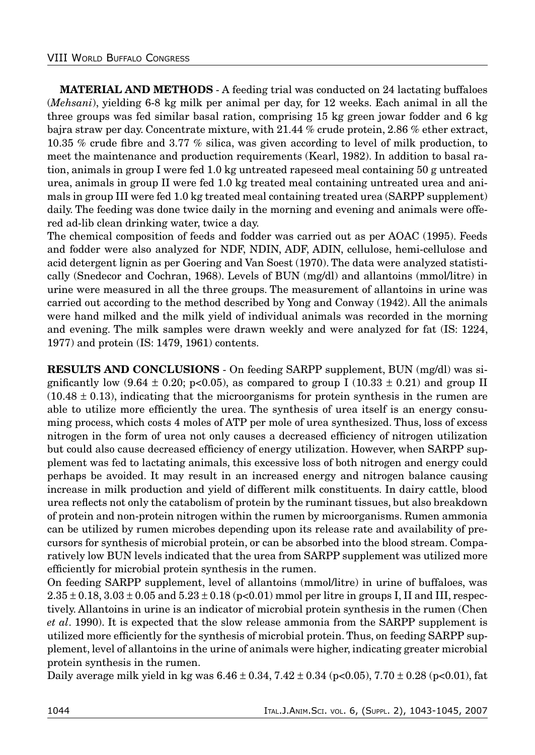**MATERIAL AND METHODS** - A feeding trial was conducted on 24 lactating buffaloes (*Mehsani*), yielding 6-8 kg milk per animal per day, for 12 weeks. Each animal in all the three groups was fed similar basal ration, comprising 15 kg green jowar fodder and 6 kg bajra straw per day. Concentrate mixture, with 21.44 % crude protein, 2.86 % ether extract, 10.35 % crude fibre and 3.77 % silica, was given according to level of milk production, to meet the maintenance and production requirements (Kearl, 1982). In addition to basal ration, animals in group I were fed 1.0 kg untreated rapeseed meal containing 50 g untreated urea, animals in group II were fed 1.0 kg treated meal containing untreated urea and animals in group III were fed 1.0 kg treated meal containing treated urea (SARPP supplement) daily. The feeding was done twice daily in the morning and evening and animals were offered ad-lib clean drinking water, twice a day.

The chemical composition of feeds and fodder was carried out as per AOAC (1995). Feeds and fodder were also analyzed for NDF, NDIN, ADF, ADIN, cellulose, hemi-cellulose and acid detergent lignin as per Goering and Van Soest (1970). The data were analyzed statistically (Snedecor and Cochran, 1968). Levels of BUN (mg/dl) and allantoins (mmol/litre) in urine were measured in all the three groups. The measurement of allantoins in urine was carried out according to the method described by Yong and Conway (1942). All the animals were hand milked and the milk yield of individual animals was recorded in the morning and evening. The milk samples were drawn weekly and were analyzed for fat (IS: 1224, 1977) and protein (IS: 1479, 1961) contents.

**RESULTS AND CONCLUSIONS** - On feeding SARPP supplement, BUN (mg/dl) was significantly low  $(9.64 \pm 0.20; \text{p} < 0.05)$ , as compared to group I  $(10.33 \pm 0.21)$  and group II  $(10.48 \pm 0.13)$ , indicating that the microorganisms for protein synthesis in the rumen are able to utilize more efficiently the urea. The synthesis of urea itself is an energy consuming process, which costs 4 moles of ATP per mole of urea synthesized. Thus, loss of excess nitrogen in the form of urea not only causes a decreased efficiency of nitrogen utilization but could also cause decreased efficiency of energy utilization. However, when SARPP supplement was fed to lactating animals, this excessive loss of both nitrogen and energy could perhaps be avoided. It may result in an increased energy and nitrogen balance causing increase in milk production and yield of different milk constituents. In dairy cattle, blood urea reflects not only the catabolism of protein by the ruminant tissues, but also breakdown of protein and non-protein nitrogen within the rumen by microorganisms. Rumen ammonia can be utilized by rumen microbes depending upon its release rate and availability of precursors for synthesis of microbial protein, or can be absorbed into the blood stream. Comparatively low BUN levels indicated that the urea from SARPP supplement was utilized more efficiently for microbial protein synthesis in the rumen.

On feeding SARPP supplement, level of allantoins (mmol/litre) in urine of buffaloes, was  $2.35 \pm 0.18$ ,  $3.03 \pm 0.05$  and  $5.23 \pm 0.18$  (p<0.01) mmol per litre in groups I, II and III, respectively. Allantoins in urine is an indicator of microbial protein synthesis in the rumen (Chen *et al*. 1990). It is expected that the slow release ammonia from the SARPP supplement is utilized more efficiently for the synthesis of microbial protein. Thus, on feeding SARPP supplement, level of allantoins in the urine of animals were higher, indicating greater microbial protein synthesis in the rumen.

Daily average milk yield in kg was  $6.46 \pm 0.34$ ,  $7.42 \pm 0.34$  (p<0.05),  $7.70 \pm 0.28$  (p<0.01), fat